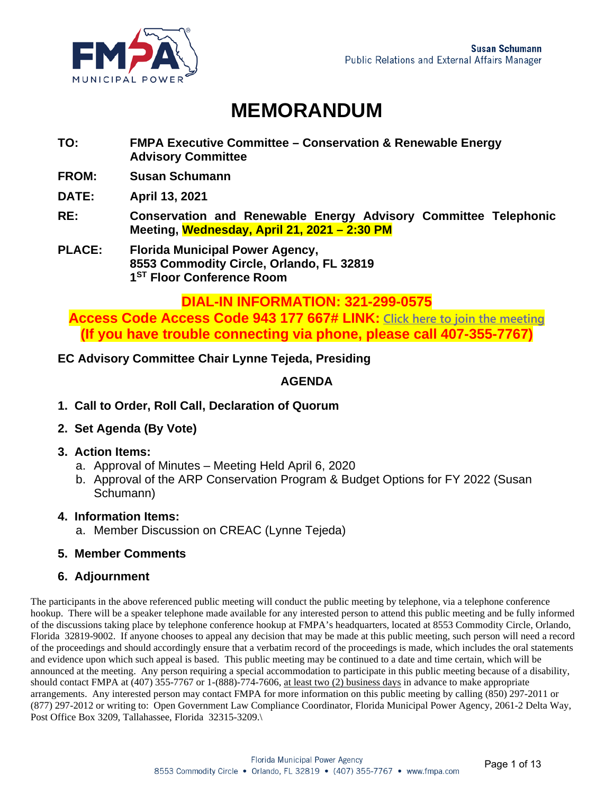

### **MEMORANDUM**

- **TO: FMPA Executive Committee Conservation & Renewable Energy Advisory Committee**
- **FROM: Susan Schumann**

**DATE: April 13, 2021** 

- **RE: Conservation and Renewable Energy Advisory Committee Telephonic Meeting, Wednesday, April 21, 2021 – 2:30 PM**
- **PLACE: Florida Municipal Power Agency, 8553 Commodity Circle, Orlando, FL 32819 1ST Floor Conference Room**

#### **DIAL-IN INFORMATION: 321-299-0575**

**Access Code Access Code 943 177 667# LINK: [Click here to join the meeting](https://teams.microsoft.com/l/meetup-join/19%3ameeting_ZGY2MDBiYmItMzUwMi00OTYyLWI4OGYtMTVhNjg4YTIxZjEx%40thread.v2/0?context=%7b%22Tid%22%3a%22ef0d3ba4-6530-433d-874d-37b1691285dd%22%2c%22Oid%22%3a%22f7fa1d29-5a60-494d-8ae2-bd81f7ad3714%22%7d) (If you have trouble connecting via phone, please call 407-355-7767)**

#### **EC Advisory Committee Chair Lynne Tejeda, Presiding**

#### **AGENDA**

- **1. Call to Order, Roll Call, Declaration of Quorum**
- **2. Set Agenda (By Vote)**
- **3. Action Items:**
	- a. Approval of Minutes Meeting Held April 6, 2020
	- b. Approval of the ARP Conservation Program & Budget Options for FY 2022 (Susan Schumann)

#### **4. Information Items:**

a. Member Discussion on CREAC (Lynne Tejeda)

#### **5. Member Comments**

#### **6. Adjournment**

The participants in the above referenced public meeting will conduct the public meeting by telephone, via a telephone conference hookup. There will be a speaker telephone made available for any interested person to attend this public meeting and be fully informed of the discussions taking place by telephone conference hookup at FMPA's headquarters, located at 8553 Commodity Circle, Orlando, Florida 32819-9002. If anyone chooses to appeal any decision that may be made at this public meeting, such person will need a record of the proceedings and should accordingly ensure that a verbatim record of the proceedings is made, which includes the oral statements and evidence upon which such appeal is based. This public meeting may be continued to a date and time certain, which will be announced at the meeting. Any person requiring a special accommodation to participate in this public meeting because of a disability, should contact FMPA at  $(407)$  355-7767 or 1- $(888)$ -774-7606, at least two  $(2)$  business days in advance to make appropriate arrangements. Any interested person may contact FMPA for more information on this public meeting by calling (850) 297-2011 or (877) 297-2012 or writing to: Open Government Law Compliance Coordinator, Florida Municipal Power Agency, 2061-2 Delta Way, Post Office Box 3209, Tallahassee, Florida 32315-3209.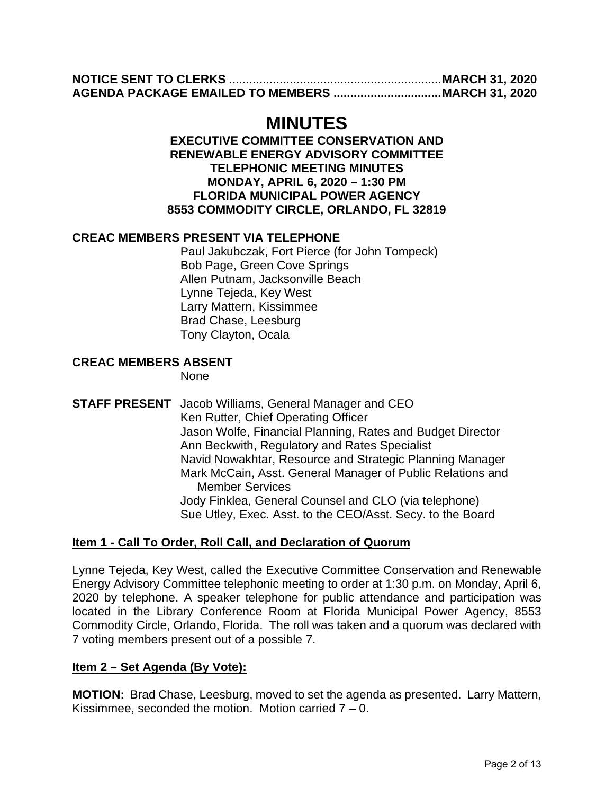### **MINUTES**

#### **EXECUTIVE COMMITTEE CONSERVATION AND RENEWABLE ENERGY ADVISORY COMMITTEE TELEPHONIC MEETING MINUTES MONDAY, APRIL 6, 2020 – 1:30 PM FLORIDA MUNICIPAL POWER AGENCY 8553 COMMODITY CIRCLE, ORLANDO, FL 32819**

#### **CREAC MEMBERS PRESENT VIA TELEPHONE**

Paul Jakubczak, Fort Pierce (for John Tompeck) Bob Page, Green Cove Springs Allen Putnam, Jacksonville Beach Lynne Tejeda, Key West Larry Mattern, Kissimmee Brad Chase, Leesburg Tony Clayton, Ocala

#### **CREAC MEMBERS ABSENT**

None

**STAFF PRESENT** Jacob Williams, General Manager and CEO Ken Rutter, Chief Operating Officer Jason Wolfe, Financial Planning, Rates and Budget Director Ann Beckwith, Regulatory and Rates Specialist Navid Nowakhtar, Resource and Strategic Planning Manager Mark McCain, Asst. General Manager of Public Relations and Member Services Jody Finklea, General Counsel and CLO (via telephone) Sue Utley, Exec. Asst. to the CEO/Asst. Secy. to the Board

#### **Item 1 - Call To Order, Roll Call, and Declaration of Quorum**

Lynne Tejeda, Key West, called the Executive Committee Conservation and Renewable Energy Advisory Committee telephonic meeting to order at 1:30 p.m. on Monday, April 6, 2020 by telephone. A speaker telephone for public attendance and participation was located in the Library Conference Room at Florida Municipal Power Agency, 8553 Commodity Circle, Orlando, Florida. The roll was taken and a quorum was declared with 7 voting members present out of a possible 7.

#### **Item 2 – Set Agenda (By Vote):**

**MOTION:** Brad Chase, Leesburg, moved to set the agenda as presented. Larry Mattern, Kissimmee, seconded the motion. Motion carried  $7 - 0$ .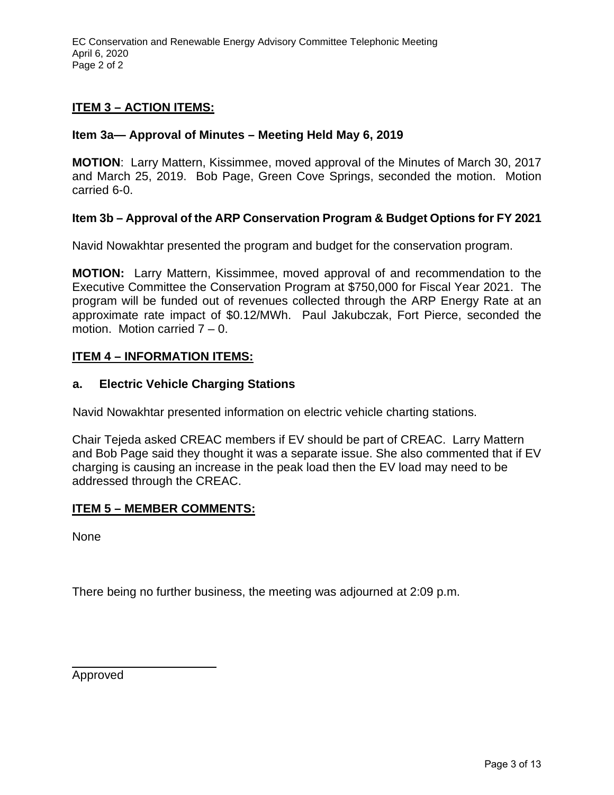EC Conservation and Renewable Energy Advisory Committee Telephonic Meeting April 6, 2020 Page 2 of 2

#### **ITEM 3 – ACTION ITEMS:**

#### **Item 3a— Approval of Minutes – Meeting Held May 6, 2019**

**MOTION**: Larry Mattern, Kissimmee, moved approval of the Minutes of March 30, 2017 and March 25, 2019. Bob Page, Green Cove Springs, seconded the motion. Motion carried 6-0.

#### **Item 3b – Approval of the ARP Conservation Program & Budget Options for FY 2021**

Navid Nowakhtar presented the program and budget for the conservation program.

**MOTION:** Larry Mattern, Kissimmee, moved approval of and recommendation to the Executive Committee the Conservation Program at \$750,000 for Fiscal Year 2021. The program will be funded out of revenues collected through the ARP Energy Rate at an approximate rate impact of \$0.12/MWh. Paul Jakubczak, Fort Pierce, seconded the motion. Motion carried 7 – 0.

#### **ITEM 4 – INFORMATION ITEMS:**

#### **a. Electric Vehicle Charging Stations**

Navid Nowakhtar presented information on electric vehicle charting stations.

Chair Tejeda asked CREAC members if EV should be part of CREAC. Larry Mattern and Bob Page said they thought it was a separate issue. She also commented that if EV charging is causing an increase in the peak load then the EV load may need to be addressed through the CREAC.

#### **ITEM 5 – MEMBER COMMENTS:**

None

There being no further business, the meeting was adjourned at 2:09 p.m.

Approved

 $\overline{a}$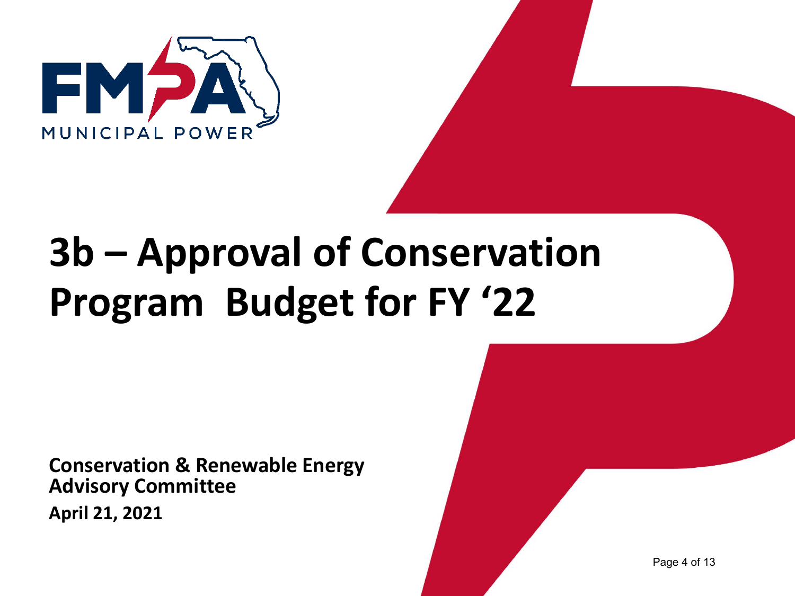

# **3b – Approval of Conservation Program Budget for FY '22**

**Conservation & Renewable Energy Advisory Committee April 21, 2021**

Page 4 of 13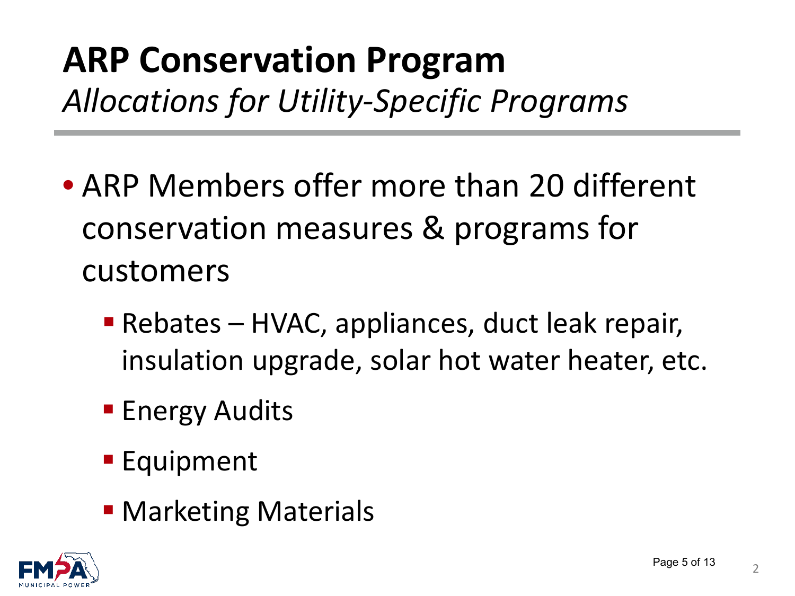# **ARP Conservation Program** *Allocations for Utility-Specific Programs*

- ARP Members offer more than 20 different conservation measures & programs for customers
	- Rebates HVAC, appliances, duct leak repair, insulation upgrade, solar hot water heater, etc.
	- **Energy Audits**
	- **Equipment**
	- **Marketing Materials**

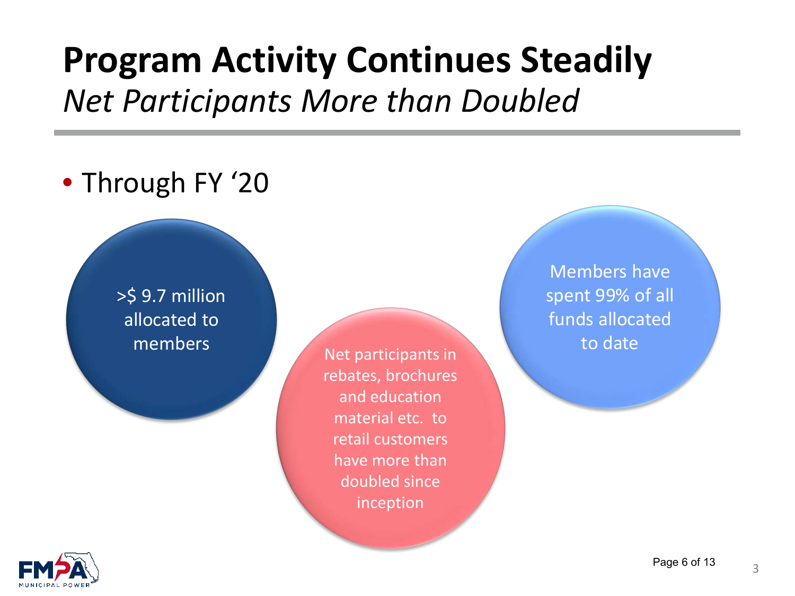## **Program Activity Continues Steadily** *Net Participants More than Doubled*

### • Through FY '20

>\$ 9.7 million allocated to

members Net participants in rebates, brochures and education material etc. to retail customers have more than doubled since inception

Members have spent 99% of all funds allocated to date

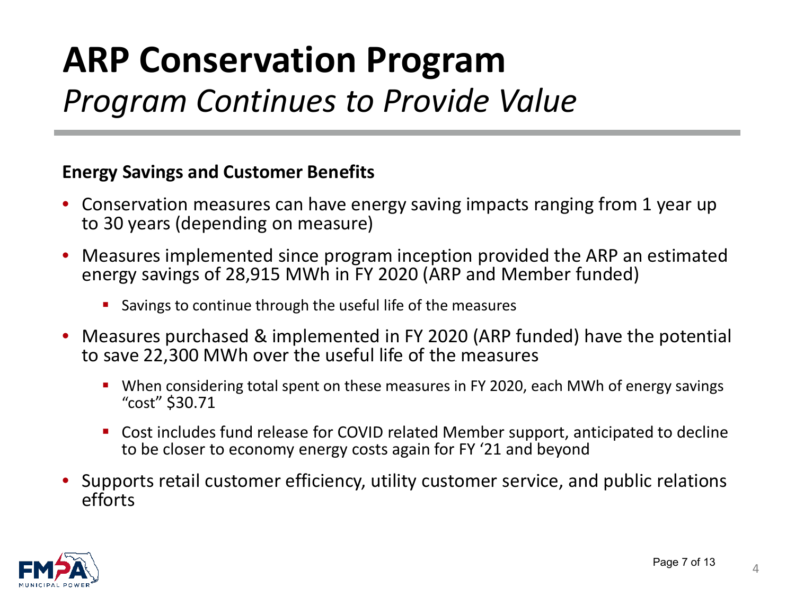# **ARP Conservation Program** *Program Continues to Provide Value*

### **Energy Savings and Customer Benefits**

- Conservation measures can have energy saving impacts ranging from 1 year up to 30 years (depending on measure)
- Measures implemented since program inception provided the ARP an estimated energy savings of 28,915 MWh in FY 2020 (ARP and Member funded)
	- Savings to continue through the useful life of the measures
- Measures purchased & implemented in FY 2020 (ARP funded) have the potential to save 22,300 MWh over the useful life of the measures
	- When considering total spent on these measures in FY 2020, each MWh of energy savings "cost" \$30.71
	- Cost includes fund release for COVID related Member support, anticipated to decline to be closer to economy energy costs again for FY '21 and beyond
- Supports retail customer efficiency, utility customer service, and public relations efforts

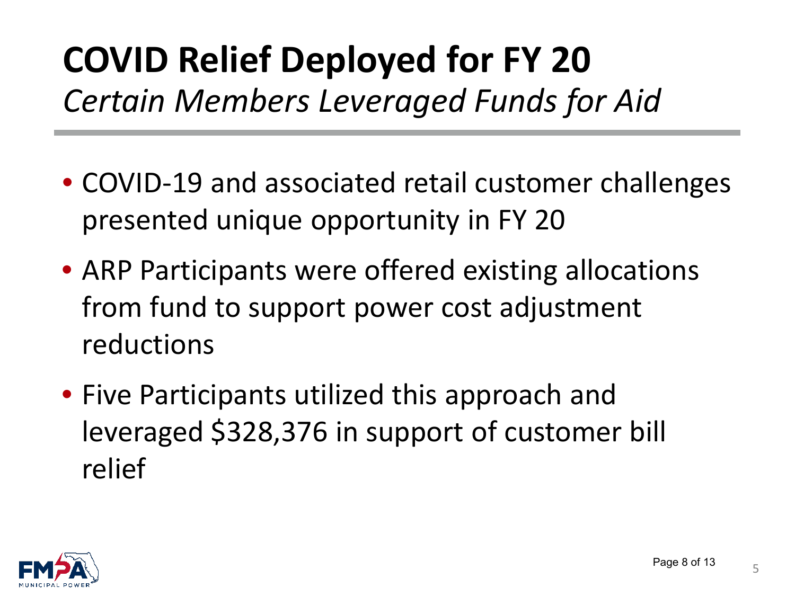# **COVID Relief Deployed for FY 20** *Certain Members Leveraged Funds for Aid*

- COVID-19 and associated retail customer challenges presented unique opportunity in FY 20
- ARP Participants were offered existing allocations from fund to support power cost adjustment reductions
- Five Participants utilized this approach and leveraged \$328,376 in support of customer bill relief

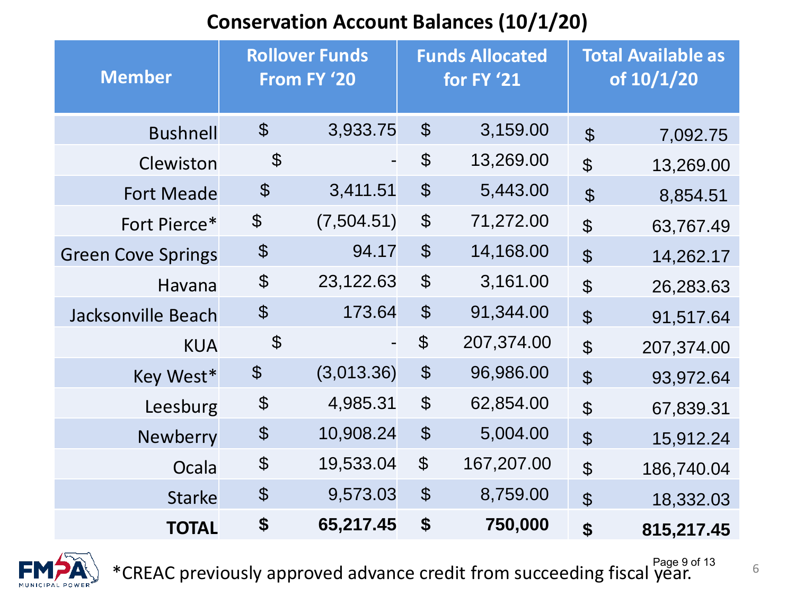### **Conservation Account Balances (10/1/20)**

| <b>Member</b>             | <b>Rollover Funds</b><br>From FY '20 |            | <b>Funds Allocated</b><br>for FY '21 |            | <b>Total Available as</b><br>of 10/1/20 |            |
|---------------------------|--------------------------------------|------------|--------------------------------------|------------|-----------------------------------------|------------|
| <b>Bushnell</b>           | $\boldsymbol{\mathcal{L}}$           | 3,933.75   | $\boldsymbol{\theta}$                | 3,159.00   | $\mathfrak{L}$                          | 7,092.75   |
| Clewiston                 | $\boldsymbol{\mathcal{L}}$           |            | $\boldsymbol{\theta}$                | 13,269.00  | $\mathfrak{P}$                          | 13,269.00  |
| <b>Fort Meade</b>         | $\boldsymbol{\mathcal{S}}$           | 3,411.51   | $\boldsymbol{\theta}$                | 5,443.00   | $\mathfrak{S}$                          | 8,854.51   |
| Fort Pierce*              | $\boldsymbol{\theta}$                | (7,504.51) | $\boldsymbol{\theta}$                | 71,272.00  | $\mathfrak{S}$                          | 63,767.49  |
| <b>Green Cove Springs</b> | $\boldsymbol{\mathsf{\$}}$           | 94.17      | $\boldsymbol{\theta}$                | 14,168.00  | $\mathfrak{S}$                          | 14,262.17  |
| Havana                    | $\boldsymbol{\theta}$                | 23,122.63  | $\boldsymbol{\theta}$                | 3,161.00   | $\mathfrak{P}$                          | 26,283.63  |
| Jacksonville Beach        | $\boldsymbol{\theta}$                | 173.64     | $\boldsymbol{\mathcal{L}}$           | 91,344.00  | $\mathfrak{S}$                          | 91,517.64  |
| <b>KUA</b>                | $\boldsymbol{\mathcal{S}}$           |            | $\boldsymbol{\varphi}$               | 207,374.00 | $\mathfrak{P}$                          | 207,374.00 |
| Key West*                 | $\boldsymbol{\theta}$                | (3,013.36) | $\boldsymbol{\theta}$                | 96,986.00  | $\mathfrak{S}$                          | 93,972.64  |
| Leesburg                  | $\boldsymbol{\theta}$                | 4,985.31   | $\boldsymbol{\mathcal{L}}$           | 62,854.00  | $\mathfrak{P}$                          | 67,839.31  |
| <b>Newberry</b>           | $\boldsymbol{\theta}$                | 10,908.24  | $\boldsymbol{\theta}$                | 5,004.00   | $\boldsymbol{\mathsf{\$}}$              | 15,912.24  |
| Ocala                     | $\boldsymbol{\theta}$                | 19,533.04  | $\boldsymbol{\theta}$                | 167,207.00 | $\mathfrak{P}$                          | 186,740.04 |
| <b>Starke</b>             | $\boldsymbol{\theta}$                | 9,573.03   | $\boldsymbol{\theta}$                | 8,759.00   | $\mathfrak{P}$                          | 18,332.03  |
| <b>TOTAL</b>              | \$                                   | 65,217.45  | \$                                   | 750,000    | \$                                      | 815,217.45 |



<sup>Page 9 of 13</sup><br>6 <sup>6 Page 9 of 13</sup> CREAC previously approved advance credit from succeeding fiscal year.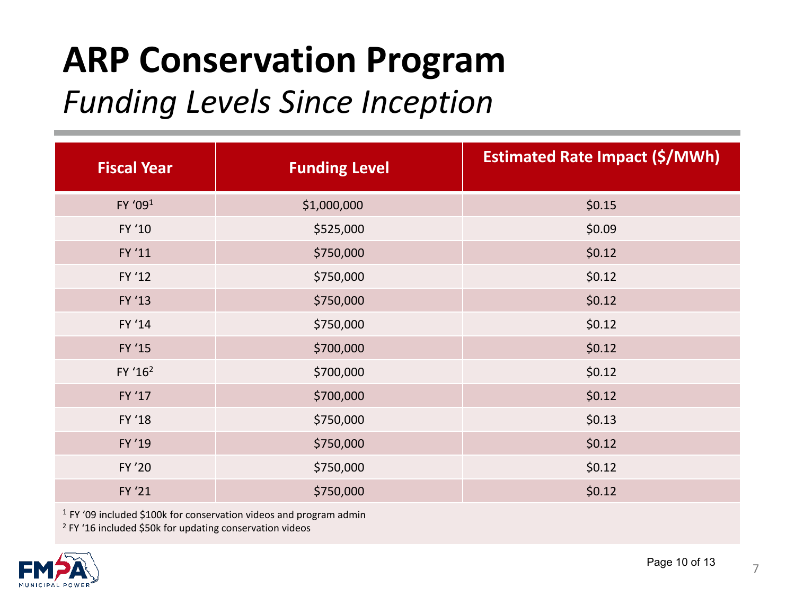# **ARP Conservation Program**

### *Funding Levels Since Inception*

| <b>Fiscal Year</b>  | <b>Funding Level</b> | <b>Estimated Rate Impact (\$/MWh)</b> |  |  |
|---------------------|----------------------|---------------------------------------|--|--|
| FY '091             | \$1,000,000          | \$0.15                                |  |  |
| FY '10              | \$525,000            | \$0.09                                |  |  |
| FY '11              | \$750,000            | \$0.12                                |  |  |
| FY '12              | \$750,000            | \$0.12                                |  |  |
| FY '13              | \$750,000            | \$0.12                                |  |  |
| FY '14              | \$750,000            | \$0.12                                |  |  |
| FY '15              | \$700,000            | \$0.12                                |  |  |
| FY '16 <sup>2</sup> | \$700,000            | \$0.12                                |  |  |
| FY '17              | \$700,000            | \$0.12                                |  |  |
| FY '18              | \$750,000            | \$0.13                                |  |  |
| FY'19               | \$750,000            | \$0.12                                |  |  |
| FY '20              | \$750,000            | \$0.12                                |  |  |
| FY '21              | \$750,000            | \$0.12                                |  |  |

<sup>1</sup> FY '09 included \$100k for conservation videos and program admin

<sup>2</sup> FY '16 included \$50k for updating conservation videos

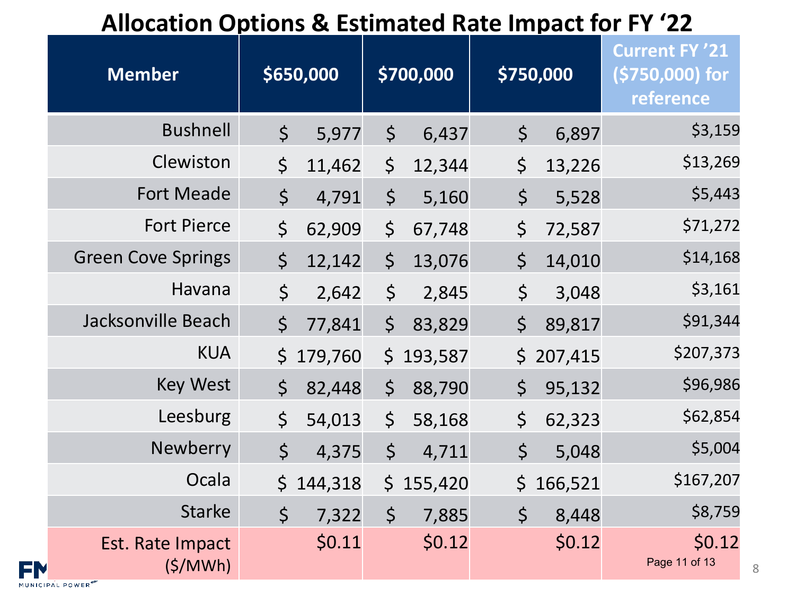### **Allocation Options & Estimated Rate Impact for FY '22**

| <b>Member</b>               |             | \$650,000 |             | \$700,000 |             | \$750,000 | <b>Current FY '21</b><br>(\$750,000) for<br>reference |
|-----------------------------|-------------|-----------|-------------|-----------|-------------|-----------|-------------------------------------------------------|
| <b>Bushnell</b>             | $\varsigma$ | 5,977     | $\varsigma$ | 6,437     | $\varsigma$ | 6,897     | \$3,159                                               |
| Clewiston                   | \$          | 11,462    | \$          | 12,344    | $\varsigma$ | 13,226    | \$13,269                                              |
| <b>Fort Meade</b>           | \$          | 4,791     | $\varsigma$ | 5,160     | $\varsigma$ | 5,528     | \$5,443                                               |
| <b>Fort Pierce</b>          | \$          | 62,909    | $\varsigma$ | 67,748    | $\zeta$     | 72,587    | \$71,272                                              |
| <b>Green Cove Springs</b>   | $\zeta$     | 12,142    | $\zeta$     | 13,076    | $\zeta$     | 14,010    | \$14,168                                              |
| Havana                      | \$          | 2,642     | $\varsigma$ | 2,845     | $\zeta$     | 3,048     | \$3,161                                               |
| Jacksonville Beach          | $\varsigma$ | 77,841    | $\varsigma$ | 83,829    | $\varsigma$ | 89,817    | \$91,344                                              |
| <b>KUA</b>                  | \$          | 179,760   | \$          | 193,587   | $\zeta$     | 207,415   | \$207,373                                             |
| <b>Key West</b>             | $\zeta$     | 82,448    | $\zeta$     | 88,790    | $\zeta$     | 95,132    | \$96,986                                              |
| Leesburg                    | $\zeta$     | 54,013    | $\varsigma$ | 58,168    | $\zeta$     | 62,323    | \$62,854                                              |
| Newberry                    | $\zeta$     | 4,375     | $\varsigma$ | 4,711     | \$          | 5,048     | \$5,004                                               |
| Ocala                       | $\zeta$     | 144,318   | \$          | 155,420   | $\zeta$     | 166,521   | \$167,207                                             |
| <b>Starke</b>               | $\zeta$     | 7,322     | $\zeta$     | 7,885     | $\zeta$     | 8,448     | \$8,759                                               |
| Est. Rate Impact<br>(S/MWh) |             | \$0.11    |             | \$0.12    |             | \$0.12    | \$0.12<br>Page 11 of 13                               |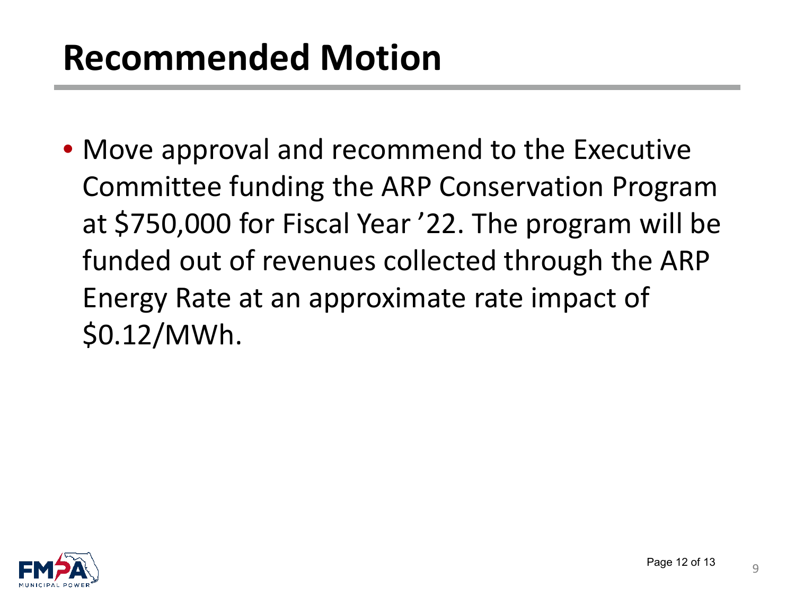# **Recommended Motion**

• Move approval and recommend to the Executive Committee funding the ARP Conservation Program at \$750,000 for Fiscal Year '22. The program will be funded out of revenues collected through the ARP Energy Rate at an approximate rate impact of \$0.12/MWh.